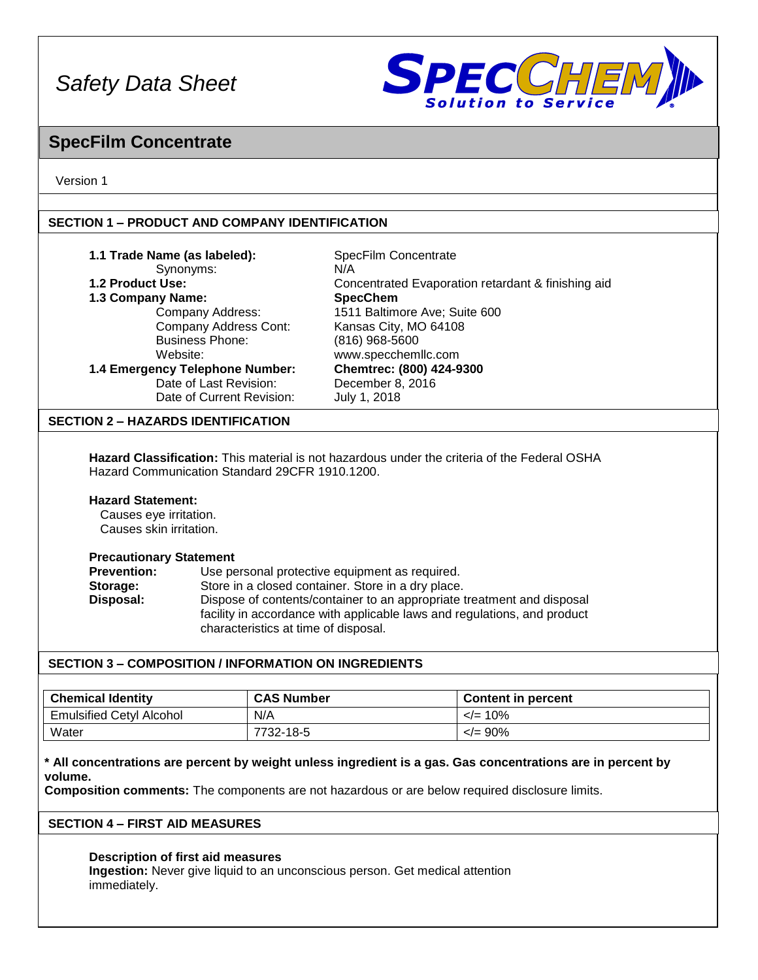

### **SpecFilm Concentrate**

Version 1

#### **SECTION 1 – PRODUCT AND COMPANY IDENTIFICATION**

| 1.1 Trade Name (as labeled):<br>Synonyms:<br>1.2 Product Use:<br>1.3 Company Name:<br>Website:                                                                                                                                         | Company Address:<br><b>Company Address Cont:</b><br><b>Business Phone:</b><br>1.4 Emergency Telephone Number:<br>Date of Last Revision:<br>Date of Current Revision:                                                                                                                               | SpecFilm Concentrate<br>N/A<br>Concentrated Evaporation retardant & finishing aid<br><b>SpecChem</b><br>1511 Baltimore Ave; Suite 600<br>Kansas City, MO 64108<br>(816) 968-5600<br>www.specchemllc.com<br>Chemtrec: (800) 424-9300<br>December 8, 2016<br>July 1, 2018 |  |  |  |
|----------------------------------------------------------------------------------------------------------------------------------------------------------------------------------------------------------------------------------------|----------------------------------------------------------------------------------------------------------------------------------------------------------------------------------------------------------------------------------------------------------------------------------------------------|-------------------------------------------------------------------------------------------------------------------------------------------------------------------------------------------------------------------------------------------------------------------------|--|--|--|
| <b>SECTION 2 - HAZARDS IDENTIFICATION</b>                                                                                                                                                                                              |                                                                                                                                                                                                                                                                                                    |                                                                                                                                                                                                                                                                         |  |  |  |
| <b>Hazard Classification:</b> This material is not hazardous under the criteria of the Federal OSHA<br>Hazard Communication Standard 29CFR 1910.1200.<br><b>Hazard Statement:</b><br>Causes eye irritation.<br>Causes skin irritation. |                                                                                                                                                                                                                                                                                                    |                                                                                                                                                                                                                                                                         |  |  |  |
| <b>Precautionary Statement</b><br><b>Prevention:</b><br>Storage:<br>Disposal:                                                                                                                                                          | Use personal protective equipment as required.<br>Store in a closed container. Store in a dry place.<br>Dispose of contents/container to an appropriate treatment and disposal<br>facility in accordance with applicable laws and regulations, and product<br>characteristics at time of disposal. |                                                                                                                                                                                                                                                                         |  |  |  |
| SECTION 3 – COMPOSITION / INFORMATION ON INGREDIENTS                                                                                                                                                                                   |                                                                                                                                                                                                                                                                                                    |                                                                                                                                                                                                                                                                         |  |  |  |
|                                                                                                                                                                                                                                        |                                                                                                                                                                                                                                                                                                    |                                                                                                                                                                                                                                                                         |  |  |  |

| <b>Chemical Identity</b>        | <b>CAS Number</b> | <b>Content in percent</b> |
|---------------------------------|-------------------|---------------------------|
| <b>Emulsified Cetyl Alcohol</b> | N/A               | $\leq$ = 10%              |
| Water                           | 7732-18-5         | $\langle = 90\%$          |

#### **\* All concentrations are percent by weight unless ingredient is a gas. Gas concentrations are in percent by volume.**

**Composition comments:** The components are not hazardous or are below required disclosure limits.

### **SECTION 4 – FIRST AID MEASURES**

**Description of first aid measures Ingestion:** Never give liquid to an unconscious person. Get medical attention immediately.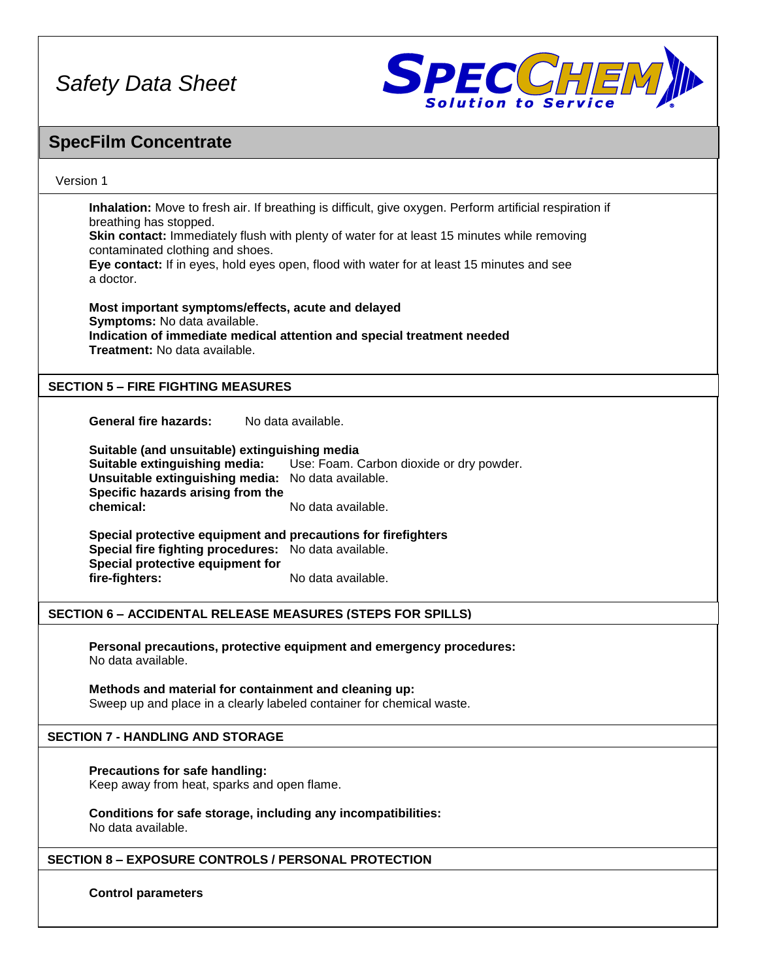

### **SpecFilm Concentrate**

#### Version 1

**Inhalation:** Move to fresh air. If breathing is difficult, give oxygen. Perform artificial respiration if breathing has stopped. **Skin contact:** Immediately flush with plenty of water for at least 15 minutes while removing

contaminated clothing and shoes.

**Eye contact:** If in eyes, hold eyes open, flood with water for at least 15 minutes and see a doctor.

**Most important symptoms/effects, acute and delayed Symptoms:** No data available. **Indication of immediate medical attention and special treatment needed Treatment:** No data available.

#### **SECTION 5 – FIRE FIGHTING MEASURES**

**General fire hazards:** No data available.

**Suitable (and unsuitable) extinguishing media Suitable extinguishing media:** Use: Foam. Carbon dioxide or dry powder. **Unsuitable extinguishing media:** No data available. **Specific hazards arising from the chemical:** No data available.

**Special protective equipment and precautions for firefighters Special fire fighting procedures:** No data available. **Special protective equipment for** fire-fighters: No data available.

#### **SECTION 6 – ACCIDENTAL RELEASE MEASURES (STEPS FOR SPILLS)**

**Personal precautions, protective equipment and emergency procedures:** No data available.

**Methods and material for containment and cleaning up:** Sweep up and place in a clearly labeled container for chemical waste.

#### **SECTION 7 - HANDLING AND STORAGE**

**Precautions for safe handling:** Keep away from heat, sparks and open flame.

**Conditions for safe storage, including any incompatibilities:** No data available.

#### **SECTION 8 – EXPOSURE CONTROLS / PERSONAL PROTECTION**

**Control parameters**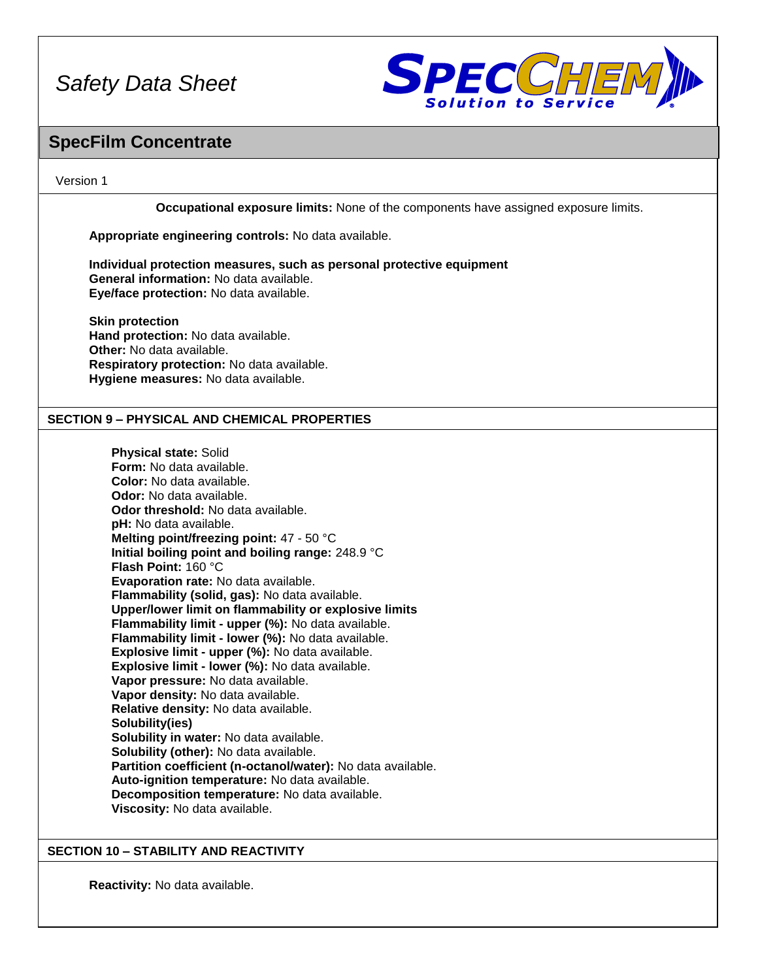

### **SpecFilm Concentrate**

#### Version 1

**Occupational exposure limits:** None of the components have assigned exposure limits. **Appropriate engineering controls:** No data available.

**Individual protection measures, such as personal protective equipment General information:** No data available. **Eye/face protection:** No data available.

**Skin protection Hand protection:** No data available. **Other:** No data available. **Respiratory protection:** No data available. **Hygiene measures:** No data available.

#### **SECTION 9 – PHYSICAL AND CHEMICAL PROPERTIES**

**Physical state:** Solid **Form:** No data available. **Color:** No data available. **Odor:** No data available. **Odor threshold:** No data available. **pH:** No data available. **Melting point/freezing point:** 47 - 50 °C **Initial boiling point and boiling range:** 248.9 °C **Flash Point:** 160 °C **Evaporation rate:** No data available. **Flammability (solid, gas):** No data available. **Upper/lower limit on flammability or explosive limits Flammability limit - upper (%):** No data available. **Flammability limit - lower (%):** No data available. **Explosive limit - upper (%):** No data available. **Explosive limit - lower (%):** No data available. **Vapor pressure:** No data available. **Vapor density:** No data available. **Relative density:** No data available. **Solubility(ies) Solubility in water:** No data available. **Solubility (other):** No data available. **Partition coefficient (n-octanol/water):** No data available. **Auto-ignition temperature:** No data available. **Decomposition temperature:** No data available. **Viscosity:** No data available.

#### **SECTION 10 – STABILITY AND REACTIVITY**

**Reactivity:** No data available.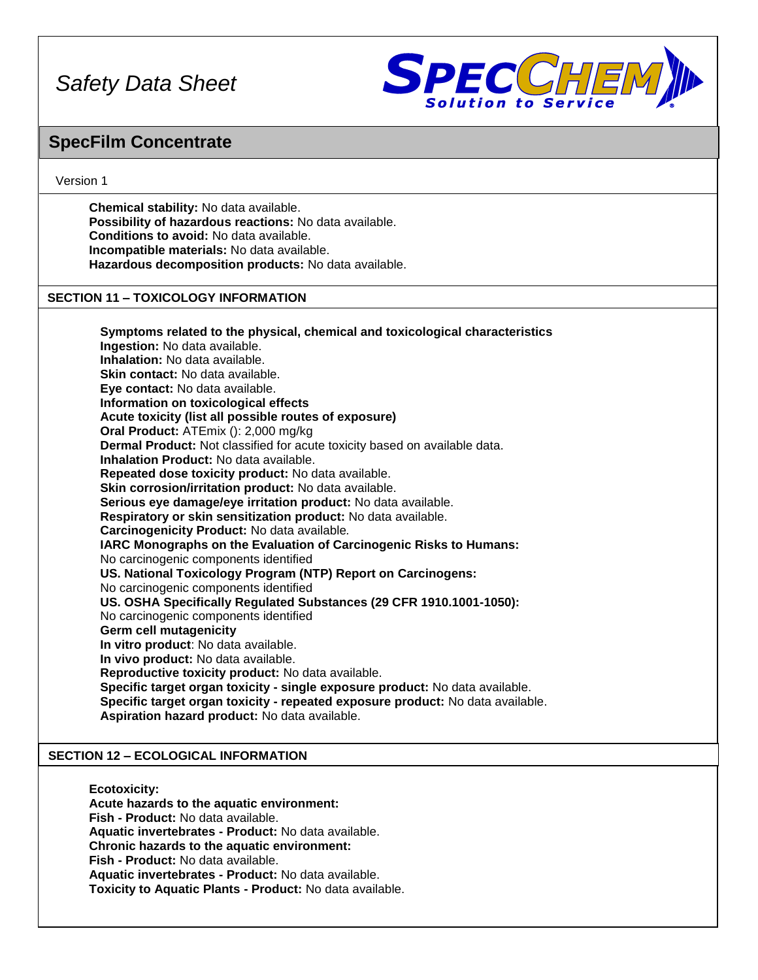

### **SpecFilm Concentrate**

#### Version 1

**Chemical stability:** No data available. **Possibility of hazardous reactions:** No data available. **Conditions to avoid:** No data available. **Incompatible materials:** No data available. **Hazardous decomposition products:** No data available.

#### **SECTION 11 – TOXICOLOGY INFORMATION**

**Symptoms related to the physical, chemical and toxicological characteristics Ingestion:** No data available. **Inhalation:** No data available. **Skin contact:** No data available. **Eye contact:** No data available. **Information on toxicological effects Acute toxicity (list all possible routes of exposure) Oral Product:** ATEmix (): 2,000 mg/kg **Dermal Product:** Not classified for acute toxicity based on available data. **Inhalation Product:** No data available. **Repeated dose toxicity product:** No data available. **Skin corrosion/irritation product:** No data available. **Serious eye damage/eye irritation product:** No data available. **Respiratory or skin sensitization product:** No data available. **Carcinogenicity Product:** No data available*.* **IARC Monographs on the Evaluation of Carcinogenic Risks to Humans:** No carcinogenic components identified **US. National Toxicology Program (NTP) Report on Carcinogens:** No carcinogenic components identified **US. OSHA Specifically Regulated Substances (29 CFR 1910.1001-1050):** No carcinogenic components identified **Germ cell mutagenicity In vitro product**: No data available. **In vivo product:** No data available. **Reproductive toxicity product:** No data available. **Specific target organ toxicity - single exposure product:** No data available. **Specific target organ toxicity - repeated exposure product:** No data available. **Aspiration hazard product:** No data available.

#### **SECTION 12 – ECOLOGICAL INFORMATION**

**Ecotoxicity: Acute hazards to the aquatic environment: Fish - Product:** No data available. **Aquatic invertebrates - Product:** No data available. **Chronic hazards to the aquatic environment: Fish - Product:** No data available. **Aquatic invertebrates - Product:** No data available. **Toxicity to Aquatic Plants - Product:** No data available.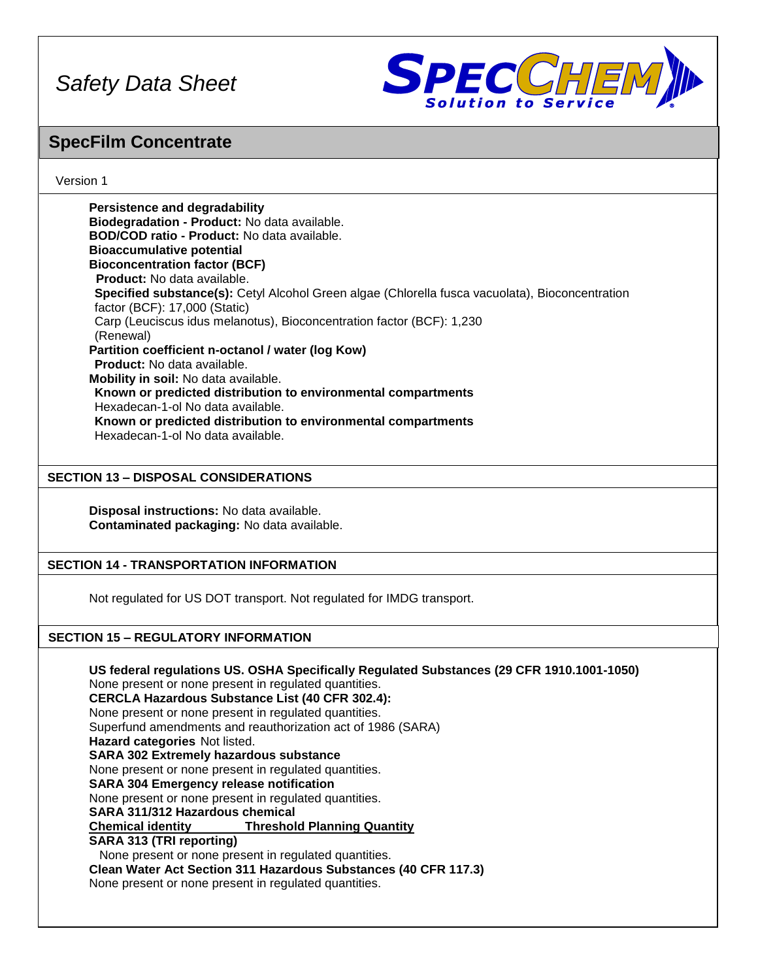

### **SpecFilm Concentrate**

#### Version 1

**Persistence and degradability Biodegradation - Product:** No data available. **BOD/COD ratio - Product:** No data available. **Bioaccumulative potential Bioconcentration factor (BCF) Product:** No data available. **Specified substance(s):** Cetyl Alcohol Green algae (Chlorella fusca vacuolata), Bioconcentration factor (BCF): 17,000 (Static) Carp (Leuciscus idus melanotus), Bioconcentration factor (BCF): 1,230 (Renewal) **Partition coefficient n-octanol / water (log Kow) Product:** No data available. **Mobility in soil:** No data available. **Known or predicted distribution to environmental compartments** Hexadecan-1-ol No data available. **Known or predicted distribution to environmental compartments** Hexadecan-1-ol No data available.

#### **SECTION 13 – DISPOSAL CONSIDERATIONS**

**Disposal instructions:** No data available. **Contaminated packaging:** No data available.

#### **SECTION 14 - TRANSPORTATION INFORMATION**

Not regulated for US DOT transport. Not regulated for IMDG transport.

#### **SECTION 15 – REGULATORY INFORMATION**

**US federal regulations US. OSHA Specifically Regulated Substances (29 CFR 1910.1001-1050)** None present or none present in regulated quantities. **CERCLA Hazardous Substance List (40 CFR 302.4):** None present or none present in regulated quantities. Superfund amendments and reauthorization act of 1986 (SARA) **Hazard categories** Not listed. **SARA 302 Extremely hazardous substance** None present or none present in regulated quantities. **SARA 304 Emergency release notification** None present or none present in regulated quantities. **SARA 311/312 Hazardous chemical Chemical identity Threshold Planning Quantity SARA 313 (TRI reporting)** None present or none present in regulated quantities. **Clean Water Act Section 311 Hazardous Substances (40 CFR 117.3)** None present or none present in regulated quantities.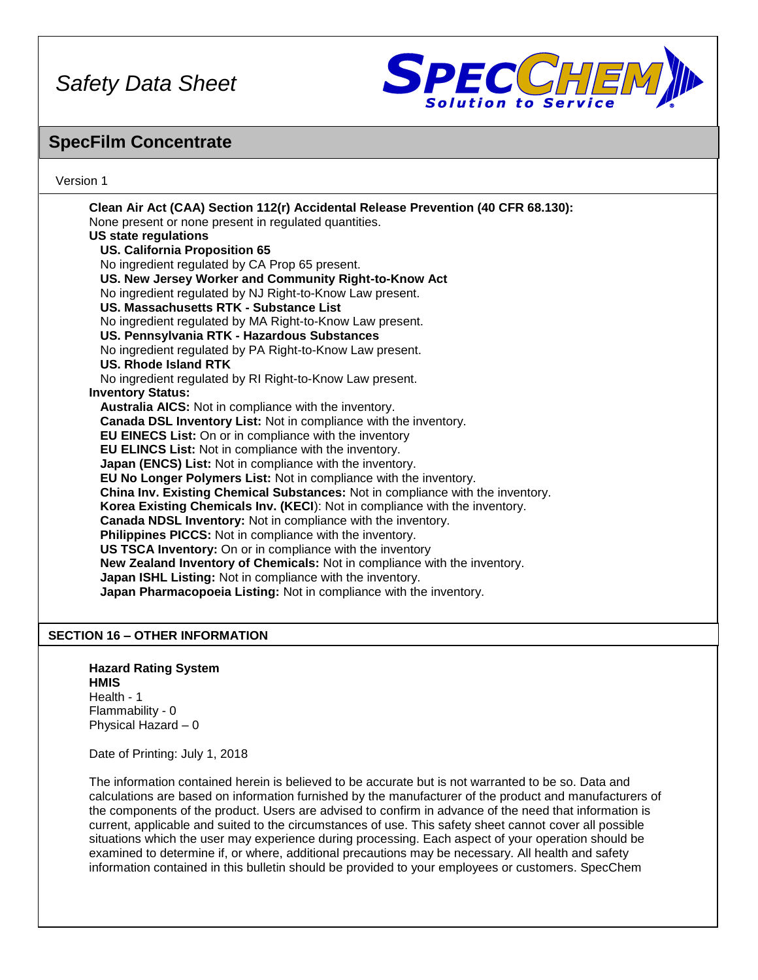

### **SpecFilm Concentrate**

#### Version 1

**Clean Air Act (CAA) Section 112(r) Accidental Release Prevention (40 CFR 68.130):** None present or none present in regulated quantities. **US state regulations US. California Proposition 65** No ingredient regulated by CA Prop 65 present. **US. New Jersey Worker and Community Right-to-Know Act** No ingredient regulated by NJ Right-to-Know Law present. **US. Massachusetts RTK - Substance List** No ingredient regulated by MA Right-to-Know Law present. **US. Pennsylvania RTK - Hazardous Substances** No ingredient regulated by PA Right-to-Know Law present. **US. Rhode Island RTK** No ingredient regulated by RI Right-to-Know Law present. **Inventory Status: Australia AICS:** Not in compliance with the inventory. **Canada DSL Inventory List:** Not in compliance with the inventory. **EU EINECS List:** On or in compliance with the inventory **EU ELINCS List:** Not in compliance with the inventory. **Japan (ENCS) List:** Not in compliance with the inventory. **EU No Longer Polymers List:** Not in compliance with the inventory. **China Inv. Existing Chemical Substances:** Not in compliance with the inventory. **Korea Existing Chemicals Inv. (KECI**): Not in compliance with the inventory. **Canada NDSL Inventory:** Not in compliance with the inventory. **Philippines PICCS:** Not in compliance with the inventory. **US TSCA Inventory:** On or in compliance with the inventory **New Zealand Inventory of Chemicals:** Not in compliance with the inventory. **Japan ISHL Listing:** Not in compliance with the inventory. **Japan Pharmacopoeia Listing:** Not in compliance with the inventory.

#### **SECTION 16 – OTHER INFORMATION**

**Hazard Rating System HMIS** Health - 1 Flammability - 0 Physical Hazard – 0

Date of Printing: July 1, 2018

The information contained herein is believed to be accurate but is not warranted to be so. Data and calculations are based on information furnished by the manufacturer of the product and manufacturers of the components of the product. Users are advised to confirm in advance of the need that information is current, applicable and suited to the circumstances of use. This safety sheet cannot cover all possible situations which the user may experience during processing. Each aspect of your operation should be examined to determine if, or where, additional precautions may be necessary. All health and safety information contained in this bulletin should be provided to your employees or customers. SpecChem